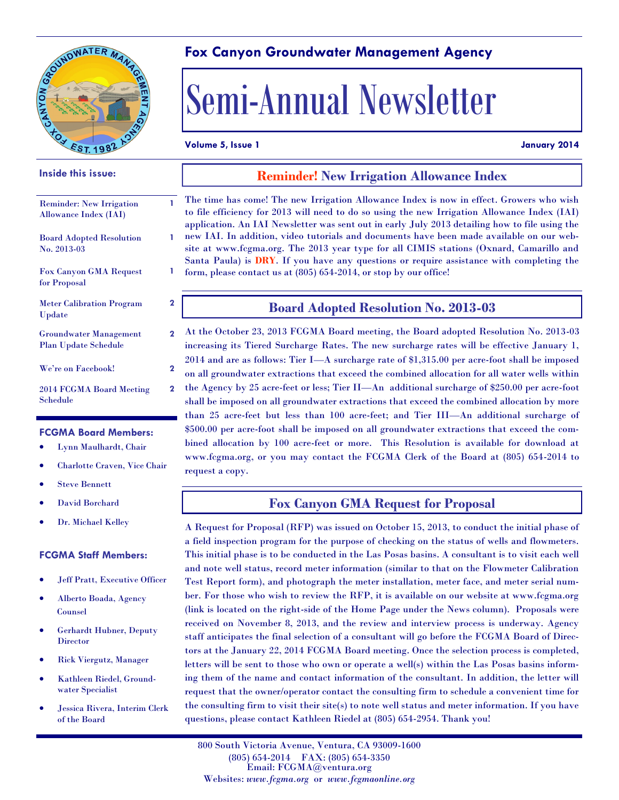

#### **Fox Canyon Groundwater Management Agency**

# Semi-Annual Newsletter

#### **Volume 5, Issue 1 January 2014**

**1**

**2**

**2**

**2**

### **Inside this issue:** Reminder: New Irrigation Allowance Index (IAI) Board Adopted Resolution No. 2013-03 Fox Canyon GMA Request for Proposal Meter Calibration Program Update Groundwater Management Plan Update Schedule We're on Facebook! **2** 2014 FCGMA Board Meeting Schedule

#### **FCGMA Board Members:**

- Lynn Maulhardt, Chair
- Charlotte Craven, Vice Chair
- Steve Bennett
- David Borchard
- Dr. Michael Kelley

#### **FCGMA Staff Members:**

- Jeff Pratt, Executive Officer
- Alberto Boada, Agency Counsel
- Gerhardt Hubner, Deputy **Director**
- Rick Viergutz, Manager
- Kathleen Riedel, Groundwater Specialist
- Jessica Rivera, Interim Clerk of the Board

#### **Reminder! New Irrigation Allowance Index**

**1 1** The time has come! The new Irrigation Allowance Index is now in effect. Growers who wish to file efficiency for 2013 will need to do so using the new Irrigation Allowance Index (IAI) application. An IAI Newsletter was sent out in early July 2013 detailing how to file using the new IAI. In addition, video tutorials and documents have been made available on our website at www.fcgma.org. The 2013 year type for all CIMIS stations (Oxnard, Camarillo and Santa Paula) is **DRY**. If you have any questions or require assistance with completing the form, please contact us at (805) 654-2014, or stop by our office!

#### **Board Adopted Resolution No. 2013-03**

At the October 23, 2013 FCGMA Board meeting, the Board adopted Resolution No. 2013-03 increasing its Tiered Surcharge Rates. The new surcharge rates will be effective January 1, 2014 and are as follows: Tier I—A surcharge rate of \$1,315.00 per acre-foot shall be imposed on all groundwater extractions that exceed the combined allocation for all water wells within the Agency by 25 acre-feet or less; Tier II—An additional surcharge of \$250.00 per acre-foot shall be imposed on all groundwater extractions that exceed the combined allocation by more than 25 acre-feet but less than 100 acre-feet; and Tier III—An additional surcharge of \$500.00 per acre-foot shall be imposed on all groundwater extractions that exceed the combined allocation by 100 acre-feet or more. This Resolution is available for download at www.fcgma.org, or you may contact the FCGMA Clerk of the Board at (805) 654-2014 to request a copy.

#### **Fox Canyon GMA Request for Proposal**

A Request for Proposal (RFP) was issued on October 15, 2013, to conduct the initial phase of a field inspection program for the purpose of checking on the status of wells and flowmeters. This initial phase is to be conducted in the Las Posas basins. A consultant is to visit each well and note well status, record meter information (similar to that on the Flowmeter Calibration Test Report form), and photograph the meter installation, meter face, and meter serial number. For those who wish to review the RFP, it is available on our website at www.fcgma.org (link is located on the right-side of the Home Page under the News column). Proposals were received on November 8, 2013, and the review and interview process is underway. Agency staff anticipates the final selection of a consultant will go before the FCGMA Board of Directors at the January 22, 2014 FCGMA Board meeting. Once the selection process is completed, letters will be sent to those who own or operate a well(s) within the Las Posas basins informing them of the name and contact information of the consultant. In addition, the letter will request that the owner/operator contact the consulting firm to schedule a convenient time for the consulting firm to visit their site(s) to note well status and meter information. If you have questions, please contact Kathleen Riedel at (805) 654-2954. Thank you!